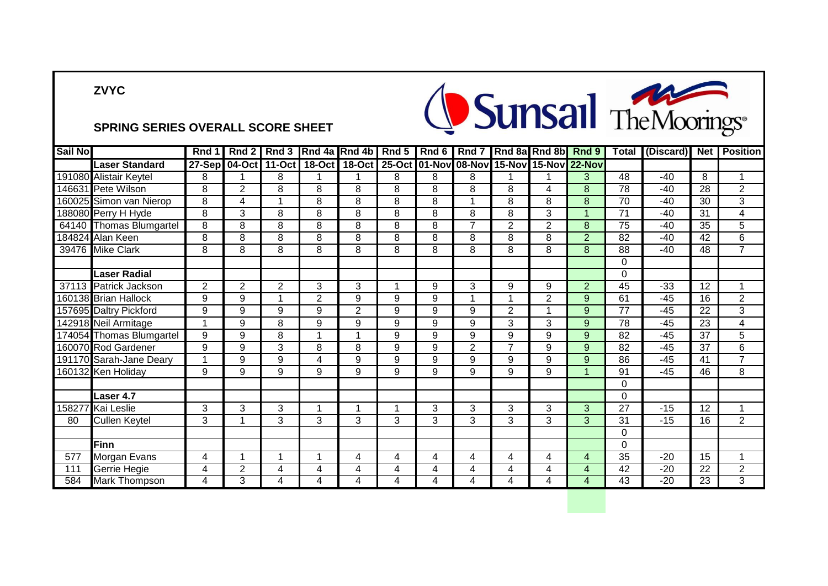## **ZVYC**



| <b>Sail No</b> |                          | <b>Rnd</b>     | Rnd 2          | Rnd 3                | Rnd 4a Rnd 4b  |                | Rnd 5 | Rnd 6 | Rnd 7                |                | Rnd 8a Rnd 8b  | Rnd 9                | <b>Total</b>    | (Discard) | Net             | <b>Position</b> |
|----------------|--------------------------|----------------|----------------|----------------------|----------------|----------------|-------|-------|----------------------|----------------|----------------|----------------------|-----------------|-----------|-----------------|-----------------|
|                | <b>Laser Standard</b>    | 27-Sep         |                | 04-Oct 11-Oct        | $18-Oct$       | <b>18-Oct</b>  |       |       | 25-Oct 01-Nov 08-Nov | 15-Nov         |                | <b>15-Nov 22-Nov</b> |                 |           |                 |                 |
|                | 191080 Alistair Keytel   | 8              |                | 8                    |                |                | 8     | 8     | 8                    |                |                | 3                    | 48              | $-40$     | 8               | 1               |
|                | 146631 Pete Wilson       | 8              | $\overline{2}$ | 8                    | 8              | 8              | 8     | 8     | 8                    | 8              | 4              | 8                    | 78              | $-40$     | $\overline{28}$ | $\overline{c}$  |
|                | 160025 Simon van Nierop  | 8              | 4              | 1                    | 8              | 8              | 8     | 8     | 1                    | 8              | 8              | 8                    | 70              | $-40$     | 30              | 3               |
|                | 188080 Perry H Hyde      | 8              | 3              | 8                    | 8              | 8              | 8     | 8     | 8                    | 8              | 3              | 4                    | 71              | $-40$     | 31              | 4               |
|                | 64140 Thomas Blumgartel  | 8              | 8              | 8                    | 8              | 8              | 8     | 8     | $\overline{7}$       | $\overline{2}$ | $\overline{2}$ | 8                    | 75              | $-40$     | 35              | 5               |
|                | 184824 Alan Keen         | 8              | 8              | 8                    | 8              | 8              | 8     | 8     | 8                    | 8              | 8              | $\overline{2}$       | 82              | $-40$     | 42              | 6               |
|                | 39476 Mike Clark         | 8              | 8              | 8                    | 8              | 8              | 8     | 8     | 8                    | 8              | 8              | 8                    | 88              | $-40$     | 48              | $\overline{7}$  |
|                |                          |                |                |                      |                |                |       |       |                      |                |                |                      | $\Omega$        |           |                 |                 |
|                | Laser Radial             |                |                |                      |                |                |       |       |                      |                |                |                      | $\Omega$        |           |                 |                 |
| 37113          | Patrick Jackson          | $\overline{2}$ | $\overline{2}$ | $\overline{2}$       | 3              | 3              | 1     | 9     | 3                    | 9              | 9              | $\overline{2}$       | 45              | $-33$     | 12              | 1               |
|                | 160138 Brian Hallock     | 9              | 9              | 1                    | $\overline{2}$ | 9              | 9     | 9     | 1                    | 1              | $\overline{2}$ | 9                    | 61              | $-45$     | 16              | $\overline{2}$  |
|                | 157695 Daltry Pickford   | 9              | 9              | 9                    | 9              | $\overline{2}$ | 9     | 9     | 9                    | $\overline{2}$ | 1              | 9                    | 77              | $-45$     | 22              | 3               |
|                | 142918 Neil Armitage     |                | 9              | 8                    | 9              | 9              | 9     | 9     | 9                    | 3              | 3              | 9                    | $\overline{78}$ | $-45$     | $\overline{23}$ | $\overline{4}$  |
|                | 174054 Thomas Blumgartel | 9              | 9              | 8                    |                | 4              | 9     | 9     | 9                    | 9              | 9              | 9                    | 82              | $-45$     | 37              | 5               |
|                | 160070 Rod Gardener      | 9              | 9              | 3                    | 8              | 8              | 9     | 9     | $\overline{2}$       | $\overline{7}$ | 9              | 9                    | 82              | $-45$     | $\overline{37}$ | 6               |
|                | 191170 Sarah-Jane Deary  | $\overline{A}$ | 9              | 9                    | 4              | 9              | 9     | 9     | 9                    | 9              | 9              | 9                    | 86              | $-45$     | 41              | $\overline{7}$  |
|                | 160132 Ken Holiday       | 9              | 9              | 9                    | 9              | 9              | 9     | 9     | 9                    | 9              | 9              | 4                    | 91              | $-45$     | 46              | 8               |
|                |                          |                |                |                      |                |                |       |       |                      |                |                |                      | 0               |           |                 |                 |
|                | Laser 4.7                |                |                |                      |                |                |       |       |                      |                |                |                      | $\Omega$        |           |                 |                 |
|                | 158277 Kai Leslie        | 3              | 3              | 3                    |                | 4              | 1     | 3     | 3                    | 3              | 3              | 3                    | 27              | $-15$     | 12              | 1               |
| 80             | <b>Cullen Keytel</b>     | 3              |                | 3                    | 3              | 3              | 3     | 3     | 3                    | 3              | 3              | 3                    | 31              | $-15$     | 16              | $\overline{2}$  |
|                |                          |                |                |                      |                |                |       |       |                      |                |                |                      | 0               |           |                 |                 |
|                | <b>Finn</b>              |                |                |                      |                |                |       |       |                      |                |                |                      | $\Omega$        |           |                 |                 |
| 577            | Morgan Evans             | 4              | 1              | $\blacktriangleleft$ |                | 4              | 4     | 4     | 4                    | 4              | 4              | 4                    | 35              | $-20$     | 15              | 1               |
| 111            | Gerrie Hegie             | 4              | $\overline{2}$ | 4                    | 4              | 4              | 4     | 4     | 4                    | 4              | 4              | 4                    | 42              | $-20$     | 22              | $\overline{2}$  |
| 584            | <b>Mark Thompson</b>     | 4              | 3              | 4                    | 4              | 4              | 4     | 4     | 4                    | 4              | 4              | 4                    | $\overline{43}$ | $-20$     | $\overline{23}$ | 3               |

Sunsail TheMoorings